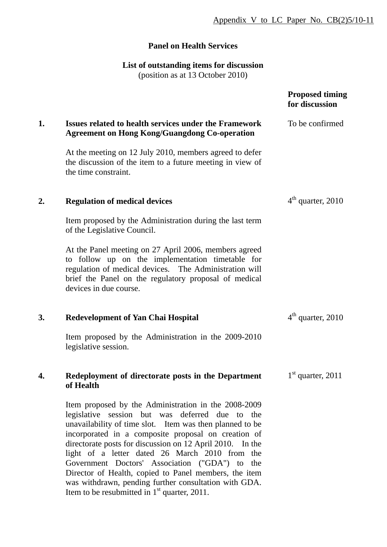# **Panel on Health Services**

### **List of outstanding items for discussion**

(position as at 13 October 2010)

|    |                                                                                                                                                                                                                                                                                                                                                                                                                                                                                                               | <b>Proposed timing</b><br>for discussion |
|----|---------------------------------------------------------------------------------------------------------------------------------------------------------------------------------------------------------------------------------------------------------------------------------------------------------------------------------------------------------------------------------------------------------------------------------------------------------------------------------------------------------------|------------------------------------------|
| 1. | <b>Issues related to health services under the Framework</b><br><b>Agreement on Hong Kong/Guangdong Co-operation</b>                                                                                                                                                                                                                                                                                                                                                                                          | To be confirmed                          |
|    | At the meeting on 12 July 2010, members agreed to defer<br>the discussion of the item to a future meeting in view of<br>the time constraint.                                                                                                                                                                                                                                                                                                                                                                  |                                          |
| 2. | <b>Regulation of medical devices</b>                                                                                                                                                                                                                                                                                                                                                                                                                                                                          | $4th$ quarter, 2010                      |
|    | Item proposed by the Administration during the last term<br>of the Legislative Council.                                                                                                                                                                                                                                                                                                                                                                                                                       |                                          |
|    | At the Panel meeting on 27 April 2006, members agreed<br>to follow up on the implementation timetable for<br>regulation of medical devices. The Administration will<br>brief the Panel on the regulatory proposal of medical<br>devices in due course.                                                                                                                                                                                                                                                        |                                          |
| 3. | <b>Redevelopment of Yan Chai Hospital</b>                                                                                                                                                                                                                                                                                                                                                                                                                                                                     | $4th$ quarter, 2010                      |
|    | Item proposed by the Administration in the 2009-2010<br>legislative session.                                                                                                                                                                                                                                                                                                                                                                                                                                  |                                          |
| 4. | Redeployment of directorate posts in the Department<br>of Health                                                                                                                                                                                                                                                                                                                                                                                                                                              | $1st$ quarter, 2011                      |
|    | Item proposed by the Administration in the 2008-2009<br>legislative session but was deferred due to the<br>unavailability of time slot. Item was then planned to be<br>incorporated in a composite proposal on creation of<br>directorate posts for discussion on 12 April 2010. In the<br>light of a letter dated 26 March 2010 from the<br>Government Doctors' Association ("GDA") to the<br>Director of Health, copied to Panel members, the item<br>was withdrawn, pending further consultation with GDA. |                                          |

Item to be resubmitted in  $1<sup>st</sup>$  quarter, 2011.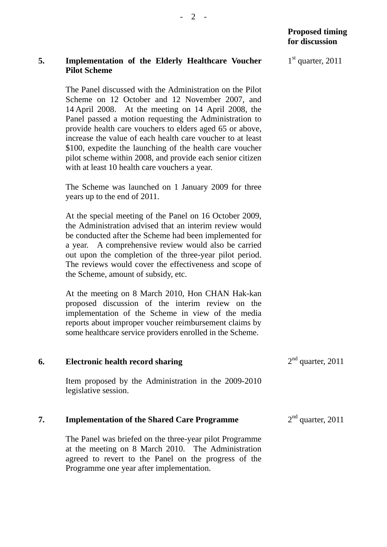### **5. Implementation of the Elderly Healthcare Voucher Pilot Scheme**

The Panel discussed with the Administration on the Pilot Scheme on 12 October and 12 November 2007, and 14 April 2008. At the meeting on 14 April 2008, the Panel passed a motion requesting the Administration to provide health care vouchers to elders aged 65 or above, increase the value of each health care voucher to at least \$100, expedite the launching of the health care voucher pilot scheme within 2008, and provide each senior citizen with at least 10 health care vouchers a year.

The Scheme was launched on 1 January 2009 for three years up to the end of 2011.

At the special meeting of the Panel on 16 October 2009, the Administration advised that an interim review would be conducted after the Scheme had been implemented for a year. A comprehensive review would also be carried out upon the completion of the three-year pilot period. The reviews would cover the effectiveness and scope of the Scheme, amount of subsidy, etc.

At the meeting on 8 March 2010, Hon CHAN Hak-kan proposed discussion of the interim review on the implementation of the Scheme in view of the media reports about improper voucher reimbursement claims by some healthcare service providers enrolled in the Scheme.

| 6. | Electronic health record sharing                     | $2nd$ quarter, 2011 |
|----|------------------------------------------------------|---------------------|
|    | Item proposed by the Administration in the 2009-2010 |                     |

#### **7. Implementation of the Shared Care Programme**   $2<sup>nd</sup>$  quarter, 2011

The Panel was briefed on the three-year pilot Programme at the meeting on 8 March 2010. The Administration agreed to revert to the Panel on the progress of the Programme one year after implementation.

legislative session.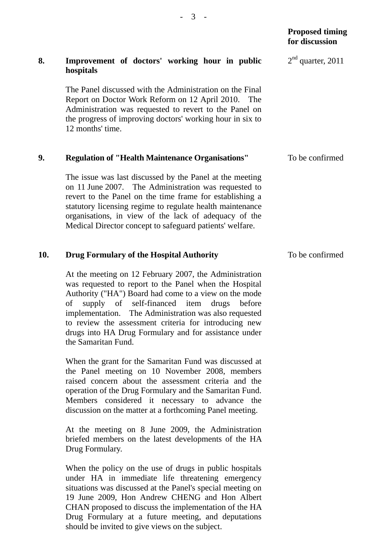|    |                                                                                                                                                                                                                                                                                                                                                                | <b>Proposed timing</b><br>for discussion |
|----|----------------------------------------------------------------------------------------------------------------------------------------------------------------------------------------------------------------------------------------------------------------------------------------------------------------------------------------------------------------|------------------------------------------|
| 8. | Improvement of doctors' working hour in public<br>hospitals                                                                                                                                                                                                                                                                                                    | $2nd$ quarter, 2011                      |
|    | The Panel discussed with the Administration on the Final<br>Report on Doctor Work Reform on 12 April 2010. The<br>Administration was requested to revert to the Panel on<br>the progress of improving doctors' working hour in six to<br>12 months' time.                                                                                                      |                                          |
| 9. | <b>Regulation of "Health Maintenance Organisations"</b>                                                                                                                                                                                                                                                                                                        | To be confirmed                          |
|    | The issue was last discussed by the Panel at the meeting<br>on 11 June 2007. The Administration was requested to<br>revert to the Panel on the time frame for establishing a<br>statutory licensing regime to regulate health maintenance<br>organisations, in view of the lack of adequacy of the<br>Medical Director concept to safeguard patients' welfare. |                                          |

To be confirmed

 $-3 -$ 

### **10. Drug Formulary of the Hospital Authority**

At the meeting on 12 February 2007, the Administration was requested to report to the Panel when the Hospital Authority ("HA") Board had come to a view on the mode of supply of self-financed item drugs before implementation. The Administration was also requested to review the assessment criteria for introducing new drugs into HA Drug Formulary and for assistance under the Samaritan Fund.

When the grant for the Samaritan Fund was discussed at the Panel meeting on 10 November 2008, members raised concern about the assessment criteria and the operation of the Drug Formulary and the Samaritan Fund. Members considered it necessary to advance the discussion on the matter at a forthcoming Panel meeting.

At the meeting on 8 June 2009, the Administration briefed members on the latest developments of the HA Drug Formulary.

When the policy on the use of drugs in public hospitals under HA in immediate life threatening emergency situations was discussed at the Panel's special meeting on 19 June 2009, Hon Andrew CHENG and Hon Albert CHAN proposed to discuss the implementation of the HA Drug Formulary at a future meeting, and deputations should be invited to give views on the subject.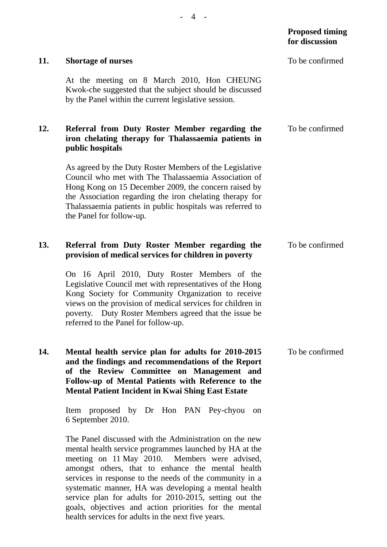|     |                                                                                                                                                                                                                                                                                                                               | <b>TOT GISCUSSION</b> |
|-----|-------------------------------------------------------------------------------------------------------------------------------------------------------------------------------------------------------------------------------------------------------------------------------------------------------------------------------|-----------------------|
| 11. | <b>Shortage of nurses</b>                                                                                                                                                                                                                                                                                                     | To be confirmed       |
|     | At the meeting on 8 March 2010, Hon CHEUNG<br>Kwok-che suggested that the subject should be discussed<br>by the Panel within the current legislative session.                                                                                                                                                                 |                       |
| 12. | Referral from Duty Roster Member regarding the<br>iron chelating therapy for Thalassaemia patients in<br>public hospitals                                                                                                                                                                                                     | To be confirmed       |
|     | As agreed by the Duty Roster Members of the Legislative<br>Council who met with The Thalassaemia Association of<br>Hong Kong on 15 December 2009, the concern raised by<br>the Association regarding the iron chelating therapy for<br>Thalassaemia patients in public hospitals was referred to<br>the Panel for follow-up.  |                       |
| 13. | Referral from Duty Roster Member regarding the<br>provision of medical services for children in poverty                                                                                                                                                                                                                       | To be confirmed       |
|     | On 16 April 2010, Duty Roster Members of the<br>Legislative Council met with representatives of the Hong<br>Kong Society for Community Organization to receive<br>views on the provision of medical services for children in<br>poverty. Duty Roster Members agreed that the issue be<br>referred to the Panel for follow-up. |                       |
| 14. | Mental health service plan for adults for 2010-2015<br>and the findings and recommendations of the Report<br>of the Review Committee on Management and<br>Follow-up of Mental Patients with Reference to the<br><b>Mental Patient Incident in Kwai Shing East Estate</b>                                                      | To be confirmed       |
|     | Item proposed by Dr Hon PAN Pey-chyou<br><sub>on</sub><br>6 September 2010.                                                                                                                                                                                                                                                   |                       |
|     | The Panel discussed with the Administration on the new<br>mental health service programmes launched by HA at the<br>meeting on 11 May 2010. Members were advised,                                                                                                                                                             |                       |

amongst others, that to enhance the mental health services in response to the needs of the community in a systematic manner, HA was developing a mental health service plan for adults for 2010-2015, setting out the goals, objectives and action priorities for the mental health services for adults in the next five years.

- 4 -

## **Proposed timing for discussion**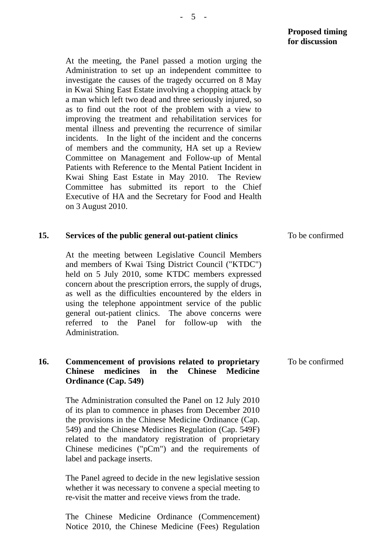At the meeting, the Panel passed a motion urging the Administration to set up an independent committee to investigate the causes of the tragedy occurred on 8 May in Kwai Shing East Estate involving a chopping attack by a man which left two dead and three seriously injured, so as to find out the root of the problem with a view to improving the treatment and rehabilitation services for mental illness and preventing the recurrence of similar incidents. In the light of the incident and the concerns of members and the community, HA set up a Review Committee on Management and Follow-up of Mental Patients with Reference to the Mental Patient Incident in Kwai Shing East Estate in May 2010. The Review Committee has submitted its report to the Chief Executive of HA and the Secretary for Food and Health on 3 August 2010.

| 15. | Services of the public general out-patient clinics                                                                                                                                                                                                                                                                                                                                                                                                                              | To be confirmed |
|-----|---------------------------------------------------------------------------------------------------------------------------------------------------------------------------------------------------------------------------------------------------------------------------------------------------------------------------------------------------------------------------------------------------------------------------------------------------------------------------------|-----------------|
|     | At the meeting between Legislative Council Members<br>and members of Kwai Tsing District Council ("KTDC")<br>held on 5 July 2010, some KTDC members expressed<br>concern about the prescription errors, the supply of drugs,<br>as well as the difficulties encountered by the elders in<br>using the telephone appointment service of the public<br>general out-patient clinics. The above concerns were<br>referred to the<br>Panel for follow-up with the<br>Administration. |                 |
| 16. | Commencement of provisions related to proprietary<br>medicines<br><b>Chinese</b><br><b>Chinese</b><br>the<br><b>Medicine</b><br>in<br>Ordinance (Cap. 549)                                                                                                                                                                                                                                                                                                                      | To be confirmed |
|     | The Administration consulted the Panel on 12 July 2010<br>of its plan to commence in phases from December 2010<br>the provisions in the Chinese Medicine Ordinance (Cap.<br>549) and the Chinese Medicines Regulation (Cap. 549F)<br>related to the mandatory registration of proprietary<br>Chinese medicines ( $"pCm"$ ) and the requirements of<br>label and package inserts.                                                                                                |                 |
|     | The Panel agreed to decide in the new legislative session<br>whether it was necessary to convene a special meeting to<br>re-visit the matter and receive views from the trade.                                                                                                                                                                                                                                                                                                  |                 |

The Chinese Medicine Ordinance (Commencement) Notice 2010, the Chinese Medicine (Fees) Regulation